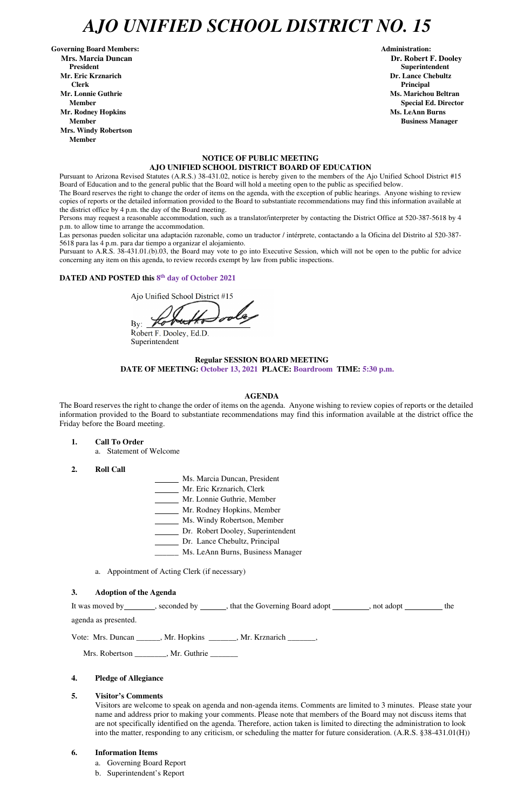# *AJO UNIFIED SCHOOL DISTRICT NO. 15*

Governing Board Members: **Administration: Administration: Administration: Mrs. Marcia Duncan Dr. Robert F. Dooley President Superintendent in the set of the set of the set of the set of the set of the Superintendent Superintendent Mr. Eric Krznarich Dr. Lance Chebultz Clerk Principal Mr. Lonnie Guthrie Ms. Marichou Beltran** *Ms. Marichou Beltran* **<b>Ms. Marichou Beltran Mr. Rodney Hopkins Ms. LeAnn Burns Member Business Manager Business Manager Business Manager Business Manager Mrs. Windy Robertson Member** 

### **NOTICE OF PUBLIC MEETING AJO UNIFIED SCHOOL DISTRICT BOARD OF EDUCATION**

Pursuant to Arizona Revised Statutes (A.R.S.) 38-431.02, notice is hereby given to the members of the Ajo Unified School District #15 Board of Education and to the general public that the Board will hold a meeting open to the public as specified below.

The Board reserves the right to change the order of items on the agenda, with the exception of public hearings. Anyone wishing to review copies of reports or the detailed information provided to the Board to substantiate recommendations may find this information available at the district office by 4 p.m. the day of the Board meeting.

Persons may request a reasonable accommodation, such as a translator/interpreter by contacting the District Office at 520-387-5618 by 4 p.m. to allow time to arrange the accommodation.

Las personas pueden solicitar una adaptación razonable, como un traductor / intérprete, contactando a la Oficina del Distrito al 520-387- 5618 para las 4 p.m. para dar tiempo a organizar el alojamiento.

It was moved by seconded by \_\_\_\_\_, that the Governing Board adopt \_\_\_\_\_\_\_, not adopt \_\_\_\_\_\_\_ the agenda as presented.

Pursuant to A.R.S. 38-431.01.(b).03, the Board may vote to go into Executive Session, which will not be open to the public for advice concerning any item on this agenda, to review records exempt by law from public inspections.

## DATED AND POSTED this 8<sup>th</sup> day of October 2021

Ajo Unified School District #15

 $By:$ 

Robert F. Dooley, Ed.D. Superintendent

### **Regular SESSION BOARD MEETING DATE OF MEETING: October 13, 2021 PLACE: Boardroom TIME: 5:30 p.m.**

### **AGENDA**

The Board reserves the right to change the order of items on the agenda. Anyone wishing to review copies of reports or the detailed information provided to the Board to substantiate recommendations may find this information available at the district office the Friday before the Board meeting.

- **1. Call To Order** 
	- a. Statement of Welcome
- **2. Roll Call**
- Ms. Marcia Duncan, President
- Mr. Eric Krznarich, Clerk
- Mr. Lonnie Guthrie, Member
- Mr. Rodney Hopkins, Member
- Ms. Windy Robertson, Member
- Dr. Robert Dooley, Superintendent
- Dr. Lance Chebultz, Principal
- \_\_\_\_\_\_ Ms. LeAnn Burns, Business Manager
- a. Appointment of Acting Clerk (if necessary)

#### **3. Adoption of the Agenda**

**Member** Special Ed. Director **Special Ed. Director** 

Vote: Mrs. Duncan \_\_\_\_\_\_, Mr. Hopkins \_\_\_\_\_\_\_, Mr. Krznarich \_\_\_\_\_\_\_,

Mrs. Robertson \_\_\_\_\_\_\_\_, Mr. Guthrie \_\_\_\_\_\_\_

### **4. Pledge of Allegiance**

### **5. Visitor's Comments**

Visitors are welcome to speak on agenda and non-agenda items. Comments are limited to 3 minutes. Please state your name and address prior to making your comments. Please note that members of the Board may not discuss items that are not specifically identified on the agenda. Therefore, action taken is limited to directing the administration to look into the matter, responding to any criticism, or scheduling the matter for future consideration. (A.R.S. §38-431.01(H))

### **6. Information Items**

- a. Governing Board Report
- b. Superintendent's Report